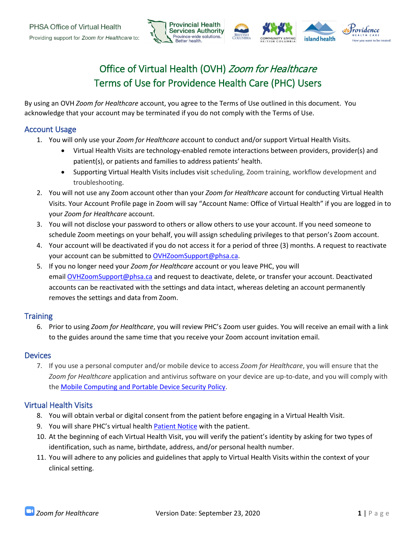

# Office of Virtual Health (OVH) Zoom for Healthcare Terms of Use for Providence Health Care (PHC) Users

By using an OVH *Zoom for Healthcare* account, you agree to the Terms of Use outlined in this document. You acknowledge that your account may be terminated if you do not comply with the Terms of Use.

## Account Usage

- 1. You will only use your *Zoom for Healthcare* account to conduct and/or support Virtual Health Visits.
	- Virtual Health Visits are technology-enabled remote interactions between providers, provider(s) and patient(s), or patients and families to address patients' health.
	- Supporting Virtual Health Visits includes visit scheduling, Zoom training, workflow development and troubleshooting.
- 2. You will not use any Zoom account other than your *Zoom for Healthcare* account for conducting Virtual Health Visits. Your Account Profile page in Zoom will say "Account Name: Office of Virtual Health" if you are logged in to your *Zoom for Healthcare* account.
- 3. You will not disclose your password to others or allow others to use your account. If you need someone to schedule Zoom meetings on your behalf, you will assign scheduling privileges to that person's Zoom account.
- 4. Your account will be deactivated if you do not access it for a period of three (3) months. A request to reactivate your account can be submitted to [OVHZoomSupport@phsa.ca.](mailto:OVHZoomSupport@phsa.ca)
- 5. If you no longer need your *Zoom for Healthcare* account or you leave PHC, you will email [OVHZoomSupport@phsa.ca](mailto:OVHZoomSupport@phsa.ca) and request to deactivate, delete, or transfer your account. Deactivated accounts can be reactivated with the settings and data intact, whereas deleting an account permanently removes the settings and data from Zoom.

## **Training**

6. Prior to using *Zoom for Healthcare*, you will review PHC's Zoom user guides. You will receive an email with a link to the guides around the same time that you receive your Zoom account invitation email.

### **Devices**

7. If you use a personal computer and/or mobile device to access *Zoom for Healthcare*, you will ensure that the *Zoom for Healthcare* application and antivirus software on your device are up-to-date, and you will comply with the [Mobile Computing and Portable Device Security Policy.](http://shop.healthcarebc.ca/phsa/IMITS%20Documents/IMITS%20policies/IMITS_260.pdf)

## Virtual Health Visits

- 8. You will obtain verbal or digital consent from the patient before engaging in a Virtual Health Visit.
- 9. You will share PHC's virtual health [Patient Notice](http://covid19.providencehealthcare.org/sites/covid19.providencehealthcare.org/files/PHC%20Patient%20Notice_Virtual%20Health.pdf) with the patient.
- 10. At the beginning of each Virtual Health Visit, you will verify the patient's identity by asking for two types of identification, such as name, birthdate, address, and/or personal health number.
- 11. You will adhere to any policies and guidelines that apply to Virtual Health Visits within the context of your clinical setting.